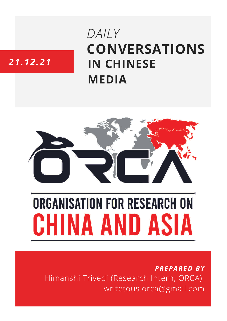## **CONVERSATIONS IN CHINESE MEDIA** *DAILY*

### *21.12.21*



# **ORGANISATION FOR RESEARCH ON** HINA AND ASIA

*PREPARED BY* Himanshi Trivedi (Research Intern, ORCA) writetous.orca@gmail.com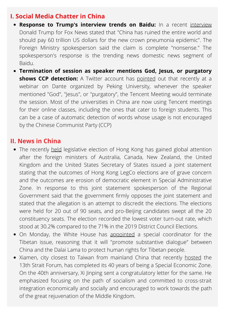#### **I. Social Media Chatter in China**

- **Response to Trump's interview trends on Baidu:** In a recent [interview](https://baijiahao.baidu.com/s?id=1719685234034878193) Donald Trump for Fox News stated that "China has ruined the entire world and should pay 60 trillion US dollars for the new crown pneumonia epidemic". The Foreign Ministry spokesperson said the claim is complete "nonsense." The spokesperson's response is the trending news domestic news segment of Baidu.
- **Termination of session as speaker mentions God, Jesus, or purgatory shows CCP detection:** A Twitter account has [pointed](https://twitter.com/chenchenzh/status/1472476651044937729) out that recently at a webinar on Dante organized by Peking University, whenever the speaker mentioned "God", "Jesus", or "purgatory", the Tencent Meeting would terminate the session. Most of the universities in China are now using Tencent meetings for their online classes, including the ones that cater to foreign students. This can be a case of automatic detection of words whose usage is not encouraged by the Chinese Communist Party (CCP)

#### **II. News in China**

- The recently [held](https://www.bbc.co.uk/news/world-asia-china-59738052) legislative election of Hong Kong has gained global attention after the foreign ministers of Australia, Canada, New Zealand, the United Kingdom and the United States Secretary of States issued a joint statement stating that the outcomes of Hong Kong LegCo elections are of grave concern and the outcomes are erosion of democratic element in Special Administrative Zone. In response to this joint statement spokesperson of the Regional Government said that the government firmly opposes the joint statement and stated that the allegation is an attempt to discredit the elections. The elections were held for 20 out of 90 seats, and pro-Beijing candidates swept all the 20 constituency seats. The election recorded the lowest voter turn-out rate, which stood at 30.2% compared to the 71% in the 2019 District Council Elections.
- On Monday, the White [House](https://www.aljazeera.com/news/2021/12/20/us-appoints-new-tibet-coordinator-amid-tensions-with-china) has [appointed](https://www.aljazeera.com/news/2021/12/20/us-appoints-new-tibet-coordinator-amid-tensions-with-china) a special [coordinator](https://www.aljazeera.com/news/2021/12/20/us-appoints-new-tibet-coordinator-amid-tensions-with-china) for the Tibetan issue, reasoning that it will "promote substantive dialogue" between China and the Dalai Lama to protect human rights for Tibetan people.
- Xiamen, city closest to Taiwan from mainland China that recently [hosted](http://www.news.cn/politics/leaders/2021-12/21/c_1128185143.htm) the 13th Strait Forum, has completed its 40 years of being a Special Economic Zone. On the 40th anniversary, Xi Jinping sent a congratulatory letter for the same. He emphasized focusing on the path of socialism and committed to cross-strait integration economically and socially and encouraged to work towards the path of the great rejuvenation of the Middle Kingdom.